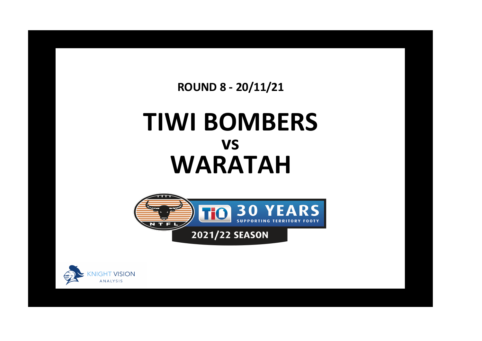**ROUND 8 - 20/11/21**

## **TIWI BOMBERS WARATAH vs**



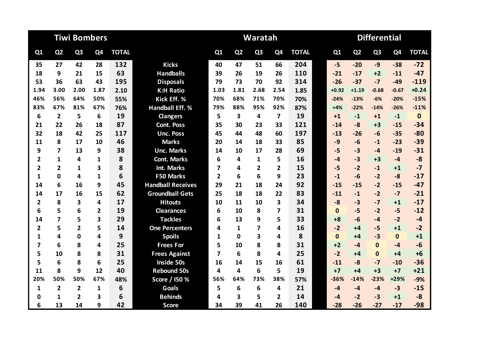|                         |                         | <b>Tiwi Bombers</b> |                |              |                          |                |                | Waratah        |                |              | <b>Differential</b> |              |                |                |                |              |  |
|-------------------------|-------------------------|---------------------|----------------|--------------|--------------------------|----------------|----------------|----------------|----------------|--------------|---------------------|--------------|----------------|----------------|----------------|--------------|--|
| Q1                      | Q <sub>2</sub>          | Q <sub>3</sub>      | Q <sub>4</sub> | <b>TOTAL</b> |                          | Q1             | Q <sub>2</sub> | Q <sub>3</sub> | Q <sub>4</sub> | <b>TOTAL</b> |                     | Q1           | Q <sub>2</sub> | Q <sub>3</sub> | Q <sub>4</sub> | <b>TOTAL</b> |  |
| 35                      | 27                      | 42                  | 28             | 132          | <b>Kicks</b>             | 40             | 47             | 51             | 66             | 204          |                     | $-5$         | $-20$          | $-9$           | $-38$          | $-72$        |  |
| 18                      | 9                       | 21                  | 15             | 63           | <b>Handballs</b>         | 39             | 26             | 19             | 26             | 110          |                     | $-21$        | $-17$          | $+2$           | $-11$          | $-47$        |  |
| 53                      | 36                      | 63                  | 43             | 195          | <b>Disposals</b>         | 79             | 73             | 70             | 92             | 314          |                     | $-26$        | $-37$          | $-7$           | $-49$          | $-119$       |  |
| 1.94                    | 3.00                    | 2.00                | 1.87           | 2.10         | <b>K:H Ratio</b>         | 1.03           | 1.81           | 2.68           | 2.54           | 1.85         |                     | $+0.92$      | $+1.19$        | $-0.68$        | $-0.67$        | $+0.24$      |  |
| 46%                     | 56%                     | 64%                 | 50%            | 55%          | Kick Eff. %              | 70%            | 68%            | 71%            | 70%            | 70%          |                     | $-24%$       | $-13%$         | $-6%$          | $-20%$         | $-15%$       |  |
| 83%                     | 67%                     | 81%                 | 67%            | 76%          | <b>Handball Eff. %</b>   | 79%            | 88%            | 95%            | 92%            | 87%          |                     | $+4%$        | $-22%$         | $-14%$         | $-26%$         | $-11%$       |  |
| 6                       | $\mathbf{2}$            | 5                   | 6              | 19           | <b>Clangers</b>          | 5              | 3              | 4              | $\overline{ }$ | 19           |                     | $+1$         | $-1$           | $+1$           | $-1$           | $\mathbf 0$  |  |
| 21                      | 22                      | 26                  | 18             | 87           | <b>Cont. Poss</b>        | 35             | 30             | 23             | 33             | 121          |                     | $-14$        | $-8$           | $+3$           | $-15$          | $-34$        |  |
| 32                      | 18                      | 42                  | 25             | 117          | <b>Unc. Poss</b>         | 45             | 44             | 48             | 60             | 197          |                     | $-13$        | $-26$          | $-6$           | $-35$          | $-80$        |  |
| 11                      | 8                       | 17                  | 10             | 46           | <b>Marks</b>             | 20             | 14             | 18             | 33             | 85           |                     | $-9$         | $-6$           | $-1$           | $-23$          | $-39$        |  |
| 9                       | $\overline{\mathbf{z}}$ | 13                  | 9              | 38           | <b>Unc. Marks</b>        | 14             | 10             | 17             | 28             | 69           |                     | $-5$         | $-3$           | $-4$           | $-19$          | $-31$        |  |
| $\overline{2}$          | $\mathbf{1}$            | 4                   | 1              | 8            | <b>Cont. Marks</b>       | 6              | 4              | 1              | 5              | 16           |                     | $-4$         | $-3$           | $+3$           | $-4$           | $-8$         |  |
| $\overline{2}$          | $\overline{2}$          | $\mathbf{1}$        | 3              | 8            | <b>Int. Marks</b>        | $\overline{7}$ | 4              | $\overline{2}$ | $\overline{2}$ | 15           |                     | $-5$         | $-2$           | $-1$           | $+1$           | $-7$         |  |
| 1                       | 0                       | 4                   | 1              | 6            | <b>F50 Marks</b>         | $\overline{2}$ | 6              | 6              | 9              | 23           |                     | $-1$         | $-6$           | $-2$           | $-8$           | $-17$        |  |
| 14                      | 6                       | 16                  | 9              | 45           | <b>Handball Receives</b> | 29             | 21             | 18             | 24             | 92           |                     | $-15$        | $-15$          | $-2$           | $-15$          | $-47$        |  |
| 14                      | 17                      | 16                  | 15             | 62           | <b>Groundball Gets</b>   | 25             | 18             | 18             | 22             | 83           |                     | $-11$        | $-1$           | $-2$           | $-7$           | $-21$        |  |
| $\overline{2}$          | 8                       | 3                   | 4              | 17           | <b>Hitouts</b>           | 10             | 11             | 10             | 3              | 34           |                     | $-8$         | $-3$           | $-7$           | $+1$           | $-17$        |  |
| 6                       | 5                       | 6                   | $\overline{2}$ | 19           | <b>Clearances</b>        | 6              | 10             | 8              | 7              | 31           |                     | $\mathbf{0}$ | $-5$           | $-2$           | $-5$           | $-12$        |  |
| 14                      | $\overline{\mathbf{z}}$ | 5                   | 3              | 29           | <b>Tackles</b>           | 6              | 13             | 9              | 5              | 33           |                     | $+8$         | $-6$           | $-4$           | $-2$           | $-4$         |  |
| $\overline{\mathbf{2}}$ | 5                       | $\overline{2}$      | 5              | 14           | <b>One Percenters</b>    | 4              | $\mathbf{1}$   | 7              | 4              | 16           |                     | $-2$         | $+4$           | $-5$           | $+1$           | $-2$         |  |
| $\mathbf{1}$            | 4                       | $\Omega$            | 4              | 9            | <b>Spoils</b>            | 1              | $\Omega$       | 3              | 4              | 8            |                     | $\mathbf{0}$ | $+4$           | $-3$           | $\mathbf{0}$   | $+1$         |  |
| $\overline{7}$          | 6                       | 8                   | 4              | 25           | <b>Frees For</b>         | 5              | 10             | 8              | 8              | 31           |                     | $+2$         | -4             | $\mathbf{0}$   | -4             | $-6$         |  |
| 5                       | 10                      | 8                   | 8              | 31           | <b>Frees Against</b>     | 7              | 6              | 8              | 4              | 25           |                     | $-2$         | $+4$           | $\mathbf{0}$   | $+4$           | $+6$         |  |
| 5                       | 6                       | 8                   | 6              | 25           | Inside 50s               | 16             | 14             | 15             | 16             | 61           |                     | $-11$        | $-8$           | $-7$           | $-10$          | $-36$        |  |
| 11                      | 8                       | 9                   | 12             | 40           | <b>Rebound 50s</b>       | 4              | 4              | 6              | 5              | 19           |                     | $+7$         | $+4$           | $+3$           | $+7$           | $+21$        |  |
| 20%                     | 50%                     | 50%                 | 67%            | 48%          | Score / I50 %            | 56%            | 64%            | 73%            | 38%            | 57%          |                     | $-36%$       | $-14%$         | $-23%$         | $+29%$         | $-9%$        |  |
| 1                       | $\overline{2}$          | $\overline{2}$      | 1              | 6            | <b>Goals</b>             | 5              | 6              | 6              | 4              | 21           |                     | $-4$         | $-4$           | $-4$           | $-3$           | $-15$        |  |
| 0                       | 1                       | 2                   | 3              | 6            | <b>Behinds</b>           | 4              | 3              | 5              | $\mathbf{2}$   | 14           |                     | $-4$         | $-2$           | $-3$           | $+1$           | $-8$         |  |
| 6                       | 13                      | 14                  | 9              | 42           | <b>Score</b>             | 34             | 39             | 41             | 26             | 140          |                     | $-28$        | $-26$          | $-27$          | $-17$          | $-98$        |  |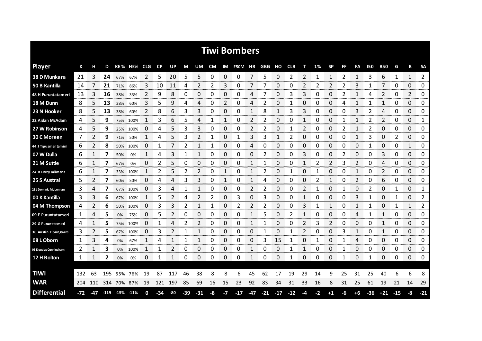|                           |       |         |      |             |          |            |           |     |       |       |    |                     | <b>Tiwi Bombers</b> |       |       |       |            |    |      |              |    |              |       |            |     |              |                  |
|---------------------------|-------|---------|------|-------------|----------|------------|-----------|-----|-------|-------|----|---------------------|---------------------|-------|-------|-------|------------|----|------|--------------|----|--------------|-------|------------|-----|--------------|------------------|
| <b>Player</b>             | К     |         | D    |             | KE% HE%  | <b>CLG</b> | <b>CP</b> | UP  | М     | UM    | CM |                     | IM F50M HR GBG      |       |       | ΗО    | <b>CLR</b> | т  | 1%   | <b>SP</b>    | FF | FA           | 150   | <b>R50</b> | G   | в            | <b>SA</b>        |
| 38 D Munkara              | 21    | 3       | 24   | 67%         | 67%      | 2          | 5         | 20  | 5     | 5     | 0  | 0                   | 0                   |       | 5     | 0     | 2          | 2  |      | 1            | 2  | 1            |       | 6          | 1   | 1            | 2<br>            |
| 50 B Kantilla             | 14    |         | 21   | 71%         | 86%      | 3          | 10        | 11  | 4     | 2     | 2  | 3                   | 0                   | 7     | 7     | 0     | 0          | 2  | 2    | 2            | 2  | 3            | 1     | 7          | 0   | 0            | 0                |
| <b>48 H Puruntatameri</b> | 13    |         | 16   | 38%         | 33%      | 2          | 9         | 8   | 0     | 0     | 0  | 0                   | 0                   | 4     |       | 0     | 3          | 3  | Ω    | 0            | 2  | 1            | 4     | 2          | 0   | 2            | 0                |
| 18 M Dunn                 | 8     | 5       | 13   | 38%         | 60%      | 3          | 5         | 9   | 4     | 4     | 0  | 2                   | 0                   | 4     | 2     | 0     | 1          | 0  | 0    | 0            | 4  | 1            | 1     | 1          | 0   | 0            | 0                |
| 23 N Hooker               | 8     | 5       | 13   | 38%         | 60%      | 2          | 8         | 6   | 3     | 3     | 0  | 0                   | 0                   | 1     | 8     | 1     | 3          | 3  | 0    | 0            | 0  | 3            | 2     | 4          | 0   | 0            | 0                |
| 22 Aidan McAdam           | 4     | 5.      | 9    |             | 75% 100% | 1          | 3         | 6   | 5     | 4     | 1  | 1                   | 0                   | 2     | 2     | 0     | 0          | 1  | 0    | 0            | 1  | 1            | 2     | 2          | 0   | 0            | 1                |
| 27 W Robinson             | 4     | 5       | 9    |             | 25% 100% | 0          | 4         | 5   | 3     | 3     | 0  | 0                   | 0                   | 2     | 2     | 0     | 1          | 2  | 0    | 0            | 2  | $\mathbf{1}$ | 2     | 0          | 0   | 0            | 0                |
| 30 C Moreen               | 7     | 2       | 9    | 71%         | 50%      | 1          | 4         | 5   | 3     | 2     | 1  | 0                   | 1                   | 3     | 3     | 1     | 2          | 0  | 0    | 0            | 0  | 1            | 3     | 0          | 2   | 0            | 0                |
| 44 J Tipuamantamimi       | 6     | 2       | 8    | 50%         | 100%     | 0          | 1         |     | 2     | 1     | 1  | 0                   | 0                   | 4     | 0     | 0     | 0          | 0  | 0    | 0            | 0  | 0            | 1     | 0          | 0   | 1            | 0                |
| 07 W Dulla                | 6     | 1       | 7    | 50%         | 0%       | 1          | 4         | 3   | 1     | 1     | 0  | 0                   | 0                   | 0     | 2     | 0     | 0          | 3  | 0    | 0            | 2  | 0            | 0     | 3          | 0   | 0            | 0                |
| 21 M Suttle               | 6     |         | 7    | 67%         | 0%       | 0          | 2         | 5   | 0     | 0     | 0  | 0                   | 0                   |       |       | 0     | 0          | 1  | 2    | 2            | 3  | 2            | 0     | 4          | 0   | 0            | 0                |
| 24 R Darcy Jalimana       | 6     |         | 7    | 33%         | 100%     |            | 2         | 5   | 2     | 2     | 0  | 1                   | 0                   | 1     | 2     | 0     | 1          | 0  |      | 0            | 0  | 1            | 0     | 2          | 0   | 0            | 0                |
| 25 S Austral              | 5     | 2       | 7    | 60%         | 50%      | 0          | 4         | 4   | 3     | 3     | 0  | 1                   | 0                   | 1     | 4     | 0     | 0          | 0  | 2    | $\mathbf{1}$ | 0  | 2            | 0     | 6          | 0   | 0            | 0                |
| 28 J Dominic McLennan     | 3     | 4       | 7    | 67%         | 100%     | 0          | 3         | 4   | 1     | 1     | 0  | 0                   | 0                   | 2     | 2     | 0     | 0          | 2  |      | 0            | 1  | 0            | 2     | 0          | 1   | 0            | 1<br>nn nn m     |
| 00 K Kantilla             | 3     | 3       | 6    | 67%         | 100%     |            | 5         |     | Δ     | 2     | 2  | 0                   | 3                   | 0     | 3     | 0     | 0          |    | O    | 0            | 0  | 3            |       | 0          |     | 0            | 2<br>ana amin'ny |
| 04 M Thompson             | 4     |         | 6    | 50%         | 100%     | 0          | 3         | 3   | 2     | 1     | 1  | 0                   | 2                   | 2     | 2     | 0     | 0          | 3  |      | 1            | O  | 1            |       | 0          |     | 1            | 2<br>omano e     |
| 09 E Puruntatameri        | 1     | 4       | 5    | 0%          | 75%      | 0          | 5         | 2   | 0     | 0     | 0  | 0                   | 0                   | 1     | 5     | 0     | 2          | 1  | 0    | 0            | 0  | 4            |       | 1          | 0   | 0            | 0                |
| 29 G Puruntatameri        | 4     |         | 5    | 75%         | 100%     | 0          |           | 4   |       |       | 0  | 0                   | 0                   | 1     |       | 0     | 0          | 2  | 3    | 2            | 0  | 0            | 0     | 1          | 0   | 0            | 0                |
| 36 Austin Tipungwuti      | 3     | 2       | 5    | 67%         | 100%     | 0          | 3         | 2   |       |       | 0  | 0                   | 0                   | 0     |       | 0     |            | 2  | O    | 0            | 3  | 1            | 0     | 1          | 0   | 0            | 0                |
| 08 L Oborn                | 1     | 3       | 4    | 0%          | 67%      |            | 4         |     |       | 1     | 0  | 0<br>annon.         | 0                   | 0     | 3     | 15    |            | 0  |      | 0            |    | 4            | 0     | 0          | 0   | 0<br>nn nn n | 0<br>vonnonn     |
| 03 Douglas Cunningham     | 2     |         | 3    | 0%          | 100%     | 1          |           | 2   | 0     | 0     | 0  | 0<br><b>Seconds</b> | 0                   |       | 0     | 0     |            |    | 0    | 0            | 1  | 0            | 0     | 0          | 0   | 0            | 0<br>nomen en    |
| 12 H Bolton               | 1     |         | 2    | 0%          | 0%       | 0          |           |     | 0     | 0     | 0  | 0                   | 0                   | 1     | 0     | 0     | 1          | 0  | 0    | 0            | 1  | 0            | 1     | 0          | 0   | 0            | 0                |
|                           |       |         |      |             |          |            |           |     |       |       |    |                     |                     |       |       |       |            |    |      |              |    |              |       |            |     |              |                  |
| <b>TIWI</b>               | 132   | 63      | 195  | 55%         | 76%      | 19         | 87        | 117 | 46    | 38    | 8  | 8                   | 6                   | 45    | 62    | 17    | 19         | 29 | 14   | 9            | 25 | 31           | 25    | 40         | 6   | 6            | 8                |
| <b>WAR</b>                |       | 204 110 | -314 |             | 70% 87%  | 19         | 121       | 197 | 85    | 69    | 16 | 15                  | 23                  | 92    | 83    | 34    | 31         | 33 | 16   | 8            | 31 | 25           | 61    | 19         | 21  | 14           | 29               |
| <b>Differential</b>       | $-72$ | -47     |      | 119 15% 11% |          | 0          | -34       | -80 | $-39$ | $-31$ | -8 | -7                  | $-17$               | $-47$ | $-21$ | $-17$ | $-12$      | -4 | $-2$ | $+1$         | -6 | $+6$         | $-36$ | $+21$      | -15 | -8           | $-21$            |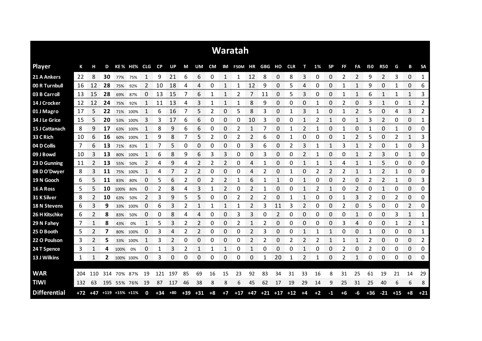|                     |     |                |     |                        |          |             |              |           |       |                |                |               | <b>Waratah</b> |                |        |                  |            |          |      |           |      |                |            |                |                |              |                        |
|---------------------|-----|----------------|-----|------------------------|----------|-------------|--------------|-----------|-------|----------------|----------------|---------------|----------------|----------------|--------|------------------|------------|----------|------|-----------|------|----------------|------------|----------------|----------------|--------------|------------------------|
| <b>Player</b>       | К   | н              | D   |                        | KE% HE%  | <b>CLG</b>  | <b>CP</b>    | <b>UP</b> | М     | UM             | <b>CM</b>      | IM            | <b>F50M</b>    | HR             | GBG HO |                  | <b>CLR</b> | т        | 1%   | <b>SP</b> | FF   | FA             | <b>150</b> | <b>R50</b>     | G              | B            | <b>SA</b>              |
| 21 A Ankers         | 22  | 8              | 30  | 77% 75%                |          | 1           | 9            | 21        | 6     | 6              | 0              | 1             | $\mathbf{1}$   | 12             | 8      | 0                | 8          | 3        | 0    | 0         | 2    | 2              | 9          | 2              | 3              | 0            | $\mathbf{1}$           |
| 00 R Turnbull       | 16  | 12             | 28  | 75%                    | 92%      | 2           | 10           | 18        | 4     | 4              | 0              | 1             | 1              | 12             | 9      | 0                | 5          | 4        | 0    | 0         | 1    | 1              | 9          | 0              | 1              | 0            | 6                      |
| 03 B Carroll        | 13  | 15             | -28 | 69%                    | 87%      | 0           | 13           | 15        | 7     | 6              | 1              | 1             | 2              | 7              | 11     | 0                | 5          | 3        | 0    | 0         | 1    | 1              | 6          | 1              | 1              | 1            | 3                      |
| 14 J Crocker        | -12 | 12             | 24  | 75%                    | 92%      | 1           | 11           | 13        | 4     | 3              | 1              | 1             | 1              | 8              | 9      | 0                | 0          | 0        | 1    | 0         | 2    | $\Omega$       | 3          | $\mathbf{1}$   | 0              | $\mathbf{1}$ | $\overline{2}$         |
| 01 J Magro          | 17  | 5              | 22  |                        | 71% 100% | 1           | 6            | 16        | 7     | 5              | 2              | 0             | 5              | 8              | 3      | 0                | 1          | 3        | 1    | 0         | 1    | 2              | 5          | 0              | 4              | 3            | 2                      |
| 34 J Le Grice       | 15  | 5              | 20  | 53%                    | 100%     | 3           | 3            | 17        | 6     | 6              | 0              | 0             | 0              | 10             | 3      | 0                | 0          |          | 2    | 1         | 0    | 1              | 3          | 2              | 0              | 0            | 1                      |
| 15 J Cattanach      | 8   | 9              | 17  |                        | 63% 100% | 1           | 8            | 9         | 6     | 6              | 0              | 0             | 2              | 1              | 7      | 0                |            | 2        |      | 0         | 1    | 0              |            | 0              | 1              | 0            | 0                      |
| 33 C Rich           | 10  | 6              | 16  | 60%                    | 100%     | 1           | 9            | 8         | 7     | 5              | $\overline{2}$ | 0             | 2              | $\overline{2}$ | 6      | 0                | 1          | $\Omega$ | 0    | 0         | 1    | 2              | 5          | 0              | $\overline{2}$ | 1            | 3                      |
| 04 D Collis         | 7   | 6              | 13  | 71%                    | 83%      | 1           | 7            | 5         | 0     | 0              | 0              | 0             | 0              | 3              | 6      | 0                | 2          | 3        | 1    | 1         | 3    | 1              | 2          | 0              | 1              | 0            | 3                      |
| 09 J Bowd           | 10  | 3              | 13  | 80%                    | 100%     | 1           | 6            | 8         | 9     | 6              | 3              | 3             | 0              | 0              | 3      | 0                | 0          | 2        |      | 0         | 0    | $\mathbf{1}$   | 2          | 3              | 0              | 1            | 0                      |
| 23 D Gunning        | 11  | $\overline{2}$ | 13  | 55%                    | 50%      | 2           | 4            | 9         | 4     | 2              | 2              | 2             | 0              | 4              | 1      | 0                | 0          |          |      | 1         | 4    | 1              |            | 5              | 0              | 0            | 0                      |
| 08 D O'Dwyer        | 8   | 3              | 11  | 75%                    | 100%     | 1           | 4            | 7         | 2     | 2              | 0              | 0             | 0              | 4              | 2      | 0                |            | 0        | 2    | 2         | 2    | $\mathbf{1}$   |            | $\overline{2}$ | 1              | 0            | 0                      |
| 19 N Gooch          | 6   | 5.             | 11  | 83%                    | 80%      | 0           | 5            | 6         | 2     | 0              | 2              | $\mathcal{P}$ | 1              | 6              | 1      | 1                | 0          |          | 0    | 0         | 2    | 0              | 2          | 2              | 1              | 0            | 3                      |
| 16 A Ross           | 5   | 5              | 10  | 100%                   | 80%      | 0           | 2            | 8         | 4     | 3              | 1              | 2             | 0              | 2              | 1      | 0                | 0          |          |      | 1         | 0    | $\overline{2}$ | 0          | $\mathbf{1}$   | 0              | 0            | 0                      |
| 31 K Silver         | 8   | 2              | 10  | 63%                    | 50%      | 2           | 3            | 9         | 5     | 5              | 0              | 0             | 2              | 2              | 2      | 0                | 1          |          | 0    | 0         | 1    | 3              | 2          | 0              | 2              | 0            | 0                      |
| <b>18 N Stevens</b> | 6   | 3              | 9   |                        | 33% 100% | 0           | 6            | 3         | 2     |                | 1              |               | 1              | 2              | 3      | 11               | 3          | 2        | 0    | 0         | 2    | 0              | 5          | 0              | 0              | 2            | 0                      |
| 26 H Kitschke       | 6   | 2              | 8   | 83%                    | 50%      | 0           | 0            | 8         | 4     | 4              | 0              | 0             | 3              | 3              | 0      | 2                | 0          | 0        | 0    | 0         | 0    | 1              | 0          | 0              | 3              | 1            | 1                      |
| 29 N Fahey          | 7   | 1              | 8   | 43%                    | 0%       | 1           | 5            |           | 2     | 2              | 0              | 0             | 2              | 1              | 2      | 0                | 0          | 0        | 0    | 0         | 3    | 4              | 0          | 0              | 1              | 2            | 1                      |
| 25 D Booth          | 5   | 2              | 7   | 80%                    | 100%     | 0           | 3            | 4         | 2     | $\overline{2}$ | 0              | 0             | 0              | 2              | 3      | 0                | 0          | 1        | 1    | 1         | 0    | 0              | 1          | 0              | 0              | 0            | 1<br><b>SAN AN</b>     |
| 22 O Poulson        | 3   | 2<br>anan a    | 5   |                        | 33% 100% | 1           | 3<br>nanana. | 2         | 0     | 0              | 0              | 0             | 0              | 2              | 2      | 0<br><b>DOM:</b> | 2          | 2        | 2    | 1         | 1    | 1              | 2          | 0              | 0              | 0<br>-----   | 2<br><b>CONTRACTOR</b> |
| 24 T Spence         | 3   | 1              | 4   | 100%                   | 0%       | 0           | 1            | 3         | 2     | 1              | 1              | 1             | 0              | 1              | 0      | 0                | 0          | 1        | 0    | 0         | 2    | 0              | 2          | 0              | 0              | 0            | 0                      |
| 13 J Wilkins        | 1   | 1              | 2   | 100% 100%              |          | 0           | 3            | 0         | 0     | 0              | 0              | 0             | 0              | 0              | 1      | 20               | 1          | 2        | 1    | 0         | 2    | 1              | 0          | 0              | 0              | 0            | 0                      |
|                     |     |                |     |                        |          |             |              |           |       |                |                |               |                |                |        |                  |            |          |      |           |      |                |            |                |                |              |                        |
| <b>WAR</b>          | 204 | 110            | 314 |                        | 70% 87%  | 19          | 121          | 197       | 85    | 69             | 16             | 15            | 23             | 92             | 83     | 34               | 31         | 33       | 16   | 8         | 31   | 25             | 61         | 19             | 21             | 14           | 29                     |
| <b>TIWI</b>         | 132 | 63             |     | 195 55% 76%            |          | 19          | 87           | 117       | 46    | 38             | 8              | 8             | 6              | 45             | 62     | 17               | 19         | 29       | 14   | 9         | 25   | 31             | 25         | 40             | 6              | 6            | 8                      |
| <b>Differential</b> |     |                |     | +72 +47 +119 +15% +11% |          | $\mathbf 0$ | $+34$        | $+80$     | $+39$ | $+31$          | $+8$           | $+7$          | $+17$          | $+47$          | $+21$  | $+17$ $+12$      |            | $+4$     | $+2$ | $-1$      | $+6$ | $-6$           | $+36$      | $-21$          | $+15$          | $+8$         | $+21$                  |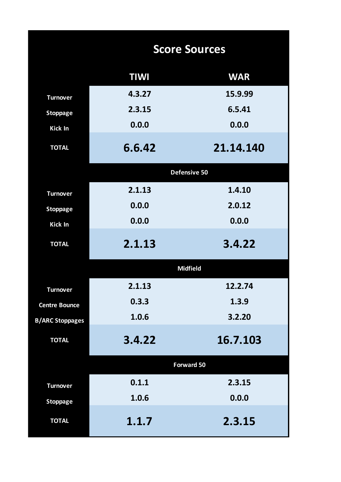|                        |             | <b>Score Sources</b> |
|------------------------|-------------|----------------------|
|                        | <b>TIWI</b> | <b>WAR</b>           |
| <b>Turnover</b>        | 4.3.27      | 15.9.99              |
| <b>Stoppage</b>        | 2.3.15      | 6.5.41               |
| Kick In                | 0.0.0       | 0.0.0                |
| <b>TOTAL</b>           | 6.6.42      | 21.14.140            |
|                        |             | Defensive 50         |
| <b>Turnover</b>        | 2.1.13      | 1.4.10               |
| <b>Stoppage</b>        | 0.0.0       | 2.0.12               |
| Kick In                | 0.0.0       | 0.0.0                |
| <b>TOTAL</b>           | 2.1.13      | 3.4.22               |
|                        |             | <b>Midfield</b>      |
| <b>Turnover</b>        | 2.1.13      | 12.2.74              |
| <b>Centre Bounce</b>   | 0.3.3       | 1.3.9                |
| <b>B/ARC Stoppages</b> | 1.0.6       | 3.2.20               |
| <b>TOTAL</b>           | 3.4.22      | 16.7.103             |
|                        |             | <b>Forward 50</b>    |
| <b>Turnover</b>        | 0.1.1       | 2.3.15               |
| <b>Stoppage</b>        | 1.0.6       | 0.0.0                |
| <b>TOTAL</b>           | 1.1.7       | 2.3.15               |